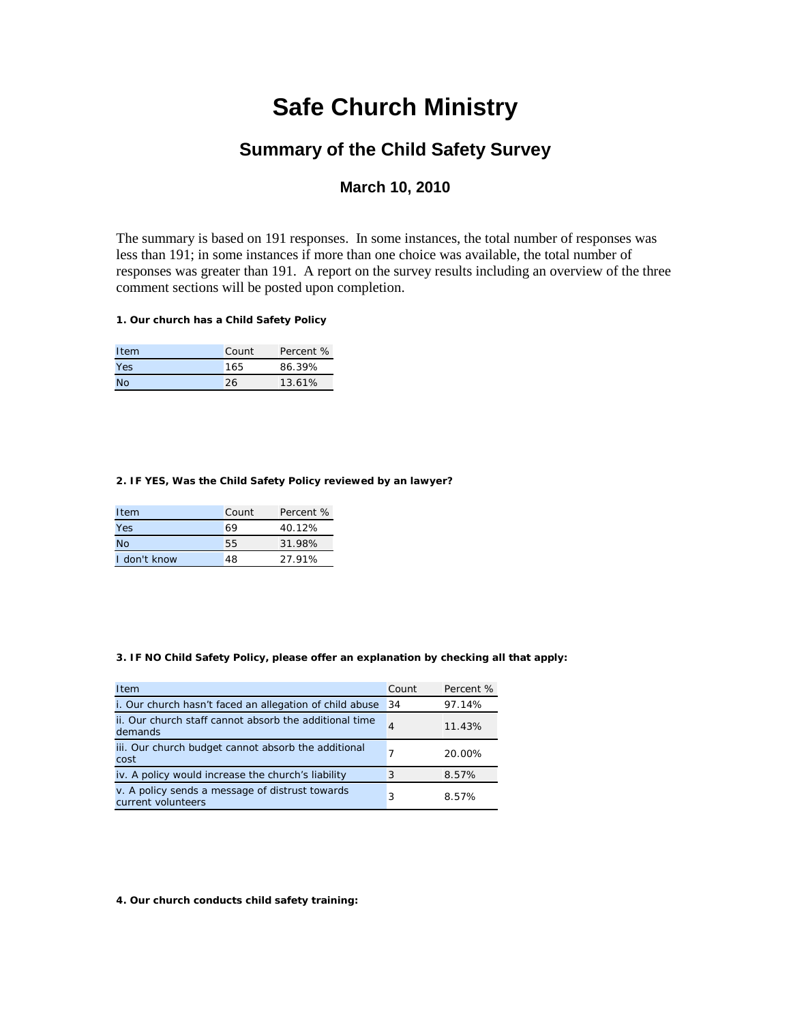# **Safe Church Ministry**

# **Summary of the Child Safety Survey**

# **March 10, 2010**

The summary is based on 191 responses. In some instances, the total number of responses was less than 191; in some instances if more than one choice was available, the total number of responses was greater than 191. A report on the survey results including an overview of the three comment sections will be posted upon completion.

# **1. Our church has a Child Safety Policy**

| Item      | Count | Percent % |
|-----------|-------|-----------|
| Yes       | 165   | 86.39%    |
| <b>No</b> | 26    | 13.61%    |

#### **2. IF YES, Was the Child Safety Policy reviewed by an lawyer?**

| Item         | Count | Percent % |
|--------------|-------|-----------|
| Yes          | 69    | 40.12%    |
| <b>No</b>    | 55    | 31.98%    |
| I don't know | 48    | 27.91%    |

#### **3. IF NO Child Safety Policy, please offer an explanation by checking all that apply:**

| Item                                                                  | Count | Percent % |
|-----------------------------------------------------------------------|-------|-----------|
| i. Our church hasn't faced an allegation of child abuse               | 34    | 97.14%    |
| ii. Our church staff cannot absorb the additional time<br>demands     | 4     | 11.43%    |
| iii. Our church budget cannot absorb the additional<br>cost           | 7     | 20.00%    |
| iv. A policy would increase the church's liability                    | 3     | 8.57%     |
| v. A policy sends a message of distrust towards<br>current volunteers | 3     | 8.57%     |

**4. Our church conducts child safety training:**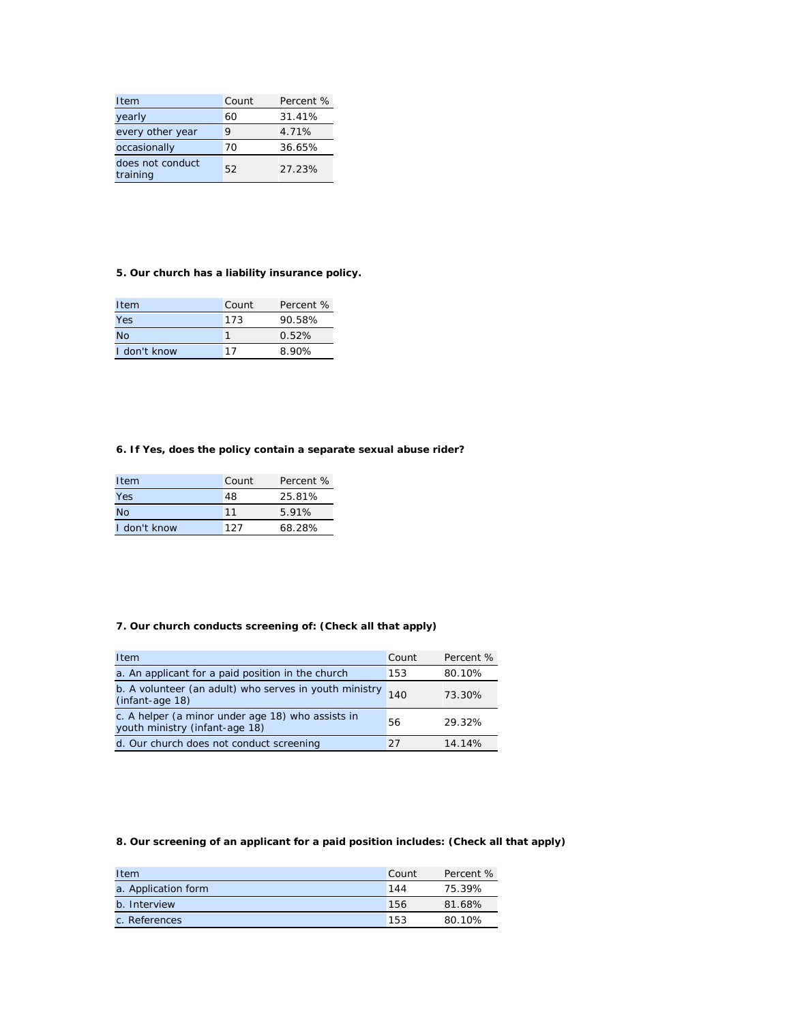| Item                         | Count | Percent % |
|------------------------------|-------|-----------|
| yearly                       | 60    | 31.41%    |
| every other year             | 9     | 4.71%     |
| occasionally                 | 70    | 36.65%    |
| does not conduct<br>training | 52    | 27.23%    |

# **5. Our church has a liability insurance policy.**

| Item         | Count | Percent % |
|--------------|-------|-----------|
| Yes          | 173   | 90.58%    |
| <b>No</b>    | 1     | 0.52%     |
| I don't know | 17    | 8.90%     |

### **6. If Yes, does the policy contain a separate sexual abuse rider?**

| Item         | Count | Percent % |
|--------------|-------|-----------|
| Yes          | 48    | 25.81%    |
| <b>No</b>    | 11    | 5.91%     |
| I don't know | 127   | 68.28%    |

# **7. Our church conducts screening of: (Check all that apply)**

| Item                                                                                | Count | Percent % |
|-------------------------------------------------------------------------------------|-------|-----------|
| a. An applicant for a paid position in the church                                   | 153   | 80.10%    |
| b. A volunteer (an adult) who serves in youth ministry $_{140}$<br>(infant-age 18)  |       | 73.30%    |
| c. A helper (a minor under age 18) who assists in<br>youth ministry (infant-age 18) | 56    | 29.32%    |
| d. Our church does not conduct screening                                            | 27    | 14.14%    |

# **8. Our screening of an applicant for a paid position includes: (Check all that apply)**

| Item                | Count | Percent % |
|---------------------|-------|-----------|
| a. Application form | 144   | 75.39%    |
| b. Interview        | 156   | 81.68%    |
| c. References       | 153   | 80.10%    |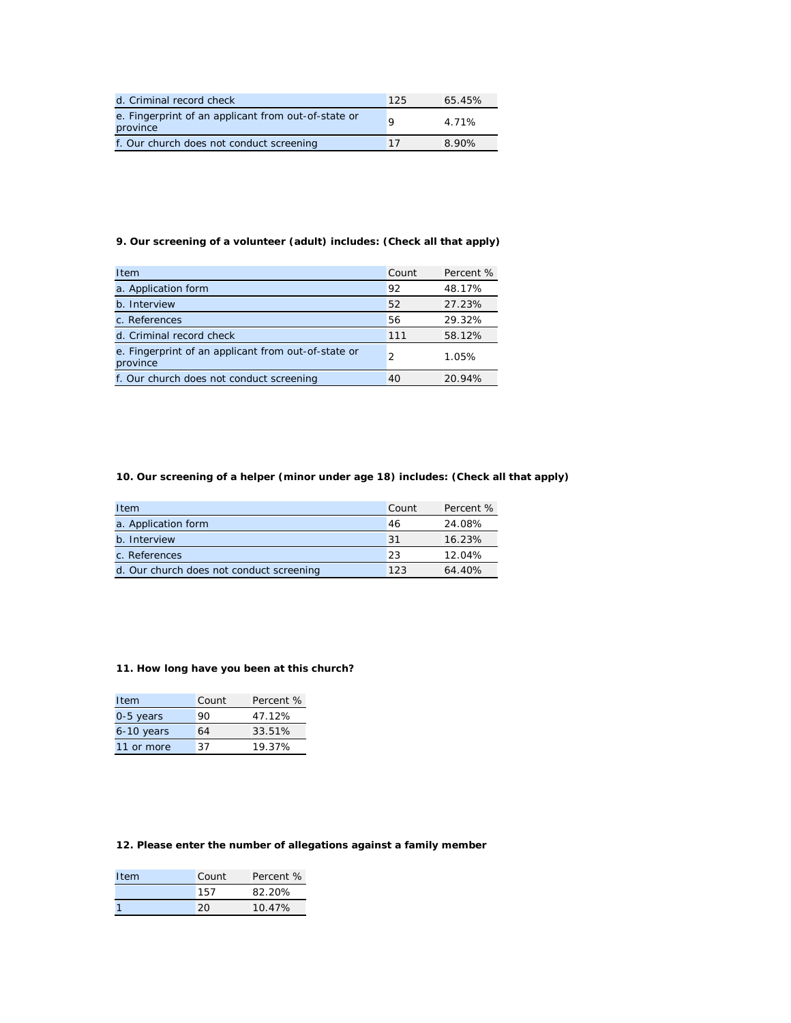| d. Criminal record check                                        | 125 | 65.45% |
|-----------------------------------------------------------------|-----|--------|
| e. Fingerprint of an applicant from out-of-state or<br>province |     | 4.71%  |
| f. Our church does not conduct screening                        | 17  | 8.90%  |

# **9. Our screening of a volunteer (adult) includes: (Check all that apply)**

| Item                                                            | Count | Percent % |
|-----------------------------------------------------------------|-------|-----------|
| a. Application form                                             | 92    | 48.17%    |
| b. Interview                                                    | 52    | 27.23%    |
| c. References                                                   | 56    | 29.32%    |
| d. Criminal record check                                        | 111   | 58.12%    |
| e. Fingerprint of an applicant from out-of-state or<br>province | 2     | 1.05%     |
| f. Our church does not conduct screening                        | 40    | 20.94%    |

#### **10. Our screening of a helper (minor under age 18) includes: (Check all that apply)**

| Item                                     | Count           | Percent % |
|------------------------------------------|-----------------|-----------|
| a. Application form                      | 46              | 24.08%    |
| b. Interview                             | $\overline{31}$ | 16.23%    |
| c. References                            | 23              | 12.04%    |
| d. Our church does not conduct screening | 123             | 64.40%    |

#### **11. How long have you been at this church?**

| Item       | Count | Percent % |
|------------|-------|-----------|
| 0-5 years  | 90    | 47.12%    |
| 6-10 years | 64    | 33.51%    |
| 11 or more | 37    | 19.37%    |

# **12. Please enter the number of allegations against a family member**

| Item | Count | Percent % |
|------|-------|-----------|
|      | 157   | 82.20%    |
|      | 20    | 10.47%    |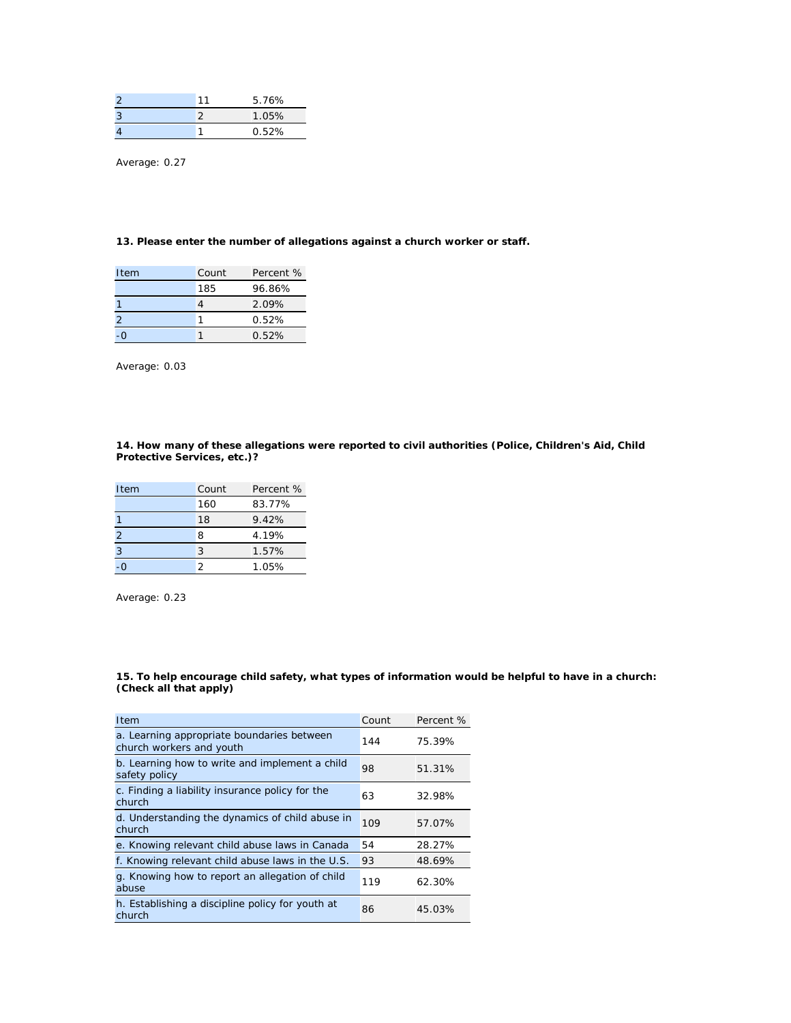|   | 11 | 5.76% |
|---|----|-------|
| 3 |    | 1.05% |
|   |    | 0.52% |

Average: 0.27

#### **13. Please enter the number of allegations against a church worker or staff.**

| Item | Count | Percent % |
|------|-------|-----------|
|      | 185   | 96.86%    |
|      |       | 2.09%     |
| 2    |       | 0.52%     |
|      |       | 0.52%     |

Average: 0.03

#### **14. How many of these allegations were reported to civil authorities (Police, Children's Aid, Child Protective Services, etc.)?**

| Item | Count | Percent % |
|------|-------|-----------|
|      | 160   | 83.77%    |
|      | 18    | 9.42%     |
| 2    | 8     | 4.19%     |
| 3    | 3     | 1.57%     |
|      | 2     | 1.05%     |

Average: 0.23

#### **15. To help encourage child safety, what types of information would be helpful to have in a church: (Check all that apply)**

| Item                                                                   | Count | Percent % |
|------------------------------------------------------------------------|-------|-----------|
| a. Learning appropriate boundaries between<br>church workers and youth | 144   | 75.39%    |
| b. Learning how to write and implement a child<br>safety policy        | 98    | 51.31%    |
| c. Finding a liability insurance policy for the<br>church              | 63    | 32.98%    |
| d. Understanding the dynamics of child abuse in<br>church              | 109   | 57.07%    |
| e. Knowing relevant child abuse laws in Canada                         | 54    | 28.27%    |
| f. Knowing relevant child abuse laws in the U.S.                       | 93    | 48.69%    |
| g. Knowing how to report an allegation of child<br>abuse               | 119   | 62.30%    |
| h. Establishing a discipline policy for youth at<br>church             | 86    | 45.03%    |